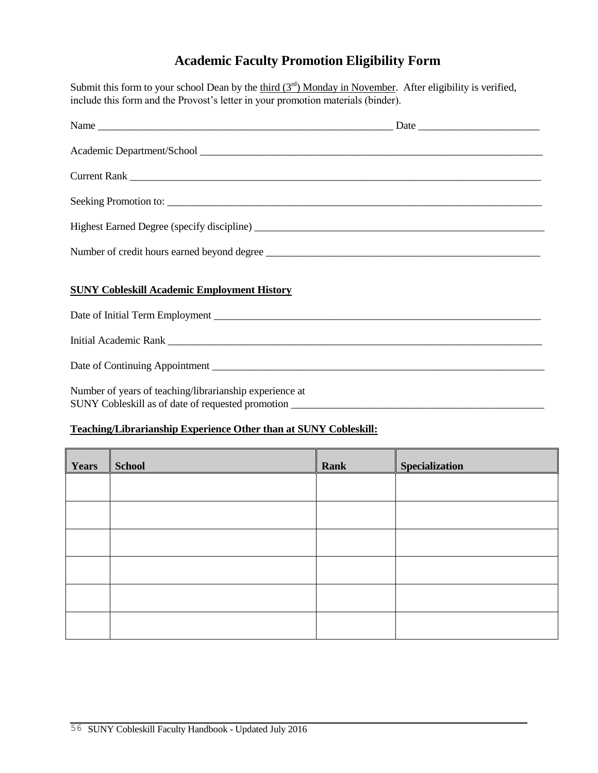## **Academic Faculty Promotion Eligibility Form**

Submit this form to your school Dean by the third  $(3<sup>rd</sup>)$  Monday in November. After eligibility is verified, include this form and the Provost's letter in your promotion materials (binder).

| Seeking Promotion to:                                                                                                                        |  |
|----------------------------------------------------------------------------------------------------------------------------------------------|--|
|                                                                                                                                              |  |
| Number of credit hours earned beyond degree                                                                                                  |  |
| <b>SUNY Cobleskill Academic Employment History</b>                                                                                           |  |
|                                                                                                                                              |  |
|                                                                                                                                              |  |
|                                                                                                                                              |  |
| Number of years of teaching/librarianship experience at<br>SUNY Cobleskill as of date of requested promotion _______________________________ |  |

## **Teaching/Librarianship Experience Other than at SUNY Cobleskill:**

| Years | <b>School</b> | Rank | <b>Specialization</b> |
|-------|---------------|------|-----------------------|
|       |               |      |                       |
|       |               |      |                       |
|       |               |      |                       |
|       |               |      |                       |
|       |               |      |                       |
|       |               |      |                       |